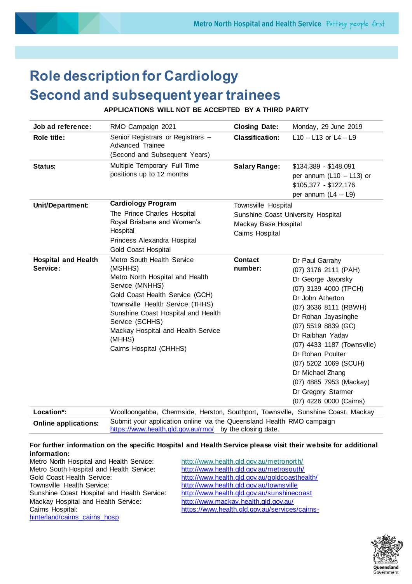

# **Role description for Cardiology Second and subsequent year trainees**

**APPLICATIONS WILL NOT BE ACCEPTED BY A THIRD PARTY**

| RMO Campaign 2021                                                                                                                                                                                                                                                                                      | <b>Closing Date:</b>                                                                                 | Monday, 29 June 2019                                                                                                                                                                                                                                                                                                                                   |
|--------------------------------------------------------------------------------------------------------------------------------------------------------------------------------------------------------------------------------------------------------------------------------------------------------|------------------------------------------------------------------------------------------------------|--------------------------------------------------------------------------------------------------------------------------------------------------------------------------------------------------------------------------------------------------------------------------------------------------------------------------------------------------------|
| Senior Registrars or Registrars -<br>Advanced Trainee<br>(Second and Subsequent Years)                                                                                                                                                                                                                 | <b>Classification:</b>                                                                               | $L10 - L13$ or $L4 - L9$                                                                                                                                                                                                                                                                                                                               |
| Multiple Temporary Full Time<br>positions up to 12 months                                                                                                                                                                                                                                              | <b>Salary Range:</b>                                                                                 | $$134,389 - $148,091$<br>per annum ( $L10 - L13$ ) or<br>\$105,377 - \$122,176<br>per annum $(L4 - L9)$                                                                                                                                                                                                                                                |
| <b>Cardiology Program</b><br>The Prince Charles Hospital<br>Royal Brisbane and Women's<br>Hospital<br>Princess Alexandra Hospital<br><b>Gold Coast Hospital</b>                                                                                                                                        | Townsville Hospital<br>Sunshine Coast University Hospital<br>Mackay Base Hospital<br>Cairns Hospital |                                                                                                                                                                                                                                                                                                                                                        |
| Metro South Health Service<br>(MSHHS)<br>Metro North Hospital and Health<br>Service (MNHHS)<br>Gold Coast Health Service (GCH)<br>Townsville Health Service (THHS)<br>Sunshine Coast Hospital and Health<br>Service (SCHHS)<br>Mackay Hospital and Health Service<br>(MHHS)<br>Cairns Hospital (CHHHS) | <b>Contact</b><br>number:                                                                            | Dr Paul Garrahy<br>(07) 3176 2111 (PAH)<br>Dr George Javorsky<br>(07) 3139 4000 (TPCH)<br>Dr John Atherton<br>(07) 3636 8111 (RBWH)<br>Dr Rohan Jayasinghe<br>(07) 5519 8839 (GC)<br>Dr Raibhan Yadav<br>(07) 4433 1187 (Townsville)<br>Dr Rohan Poulter<br>(07) 5202 1069 (SCUH)<br>Dr Michael Zhang<br>(07) 4885 7953 (Mackay)<br>Dr Gregory Starmer |
|                                                                                                                                                                                                                                                                                                        |                                                                                                      |                                                                                                                                                                                                                                                                                                                                                        |

| Location":                  | VVOOIIOONGADDA, Chermside, Herston, Southport, Townsville, Sunsnine Coast, Mackay                                                |
|-----------------------------|----------------------------------------------------------------------------------------------------------------------------------|
| <b>Online applications:</b> | Submit your application online via the Queensland Health RMO campaign<br>https://www.health.gld.gov.au/rmo/ by the closing date. |
|                             |                                                                                                                                  |

#### **For further information on the specific Hospital and Health Service please visit their website for additional information:**

Metro North Hospital and Health Service: <http://www.health.qld.gov.au/metronorth/> Metro South Hospital and Health Service: <http://www.health.qld.gov.au/metrosouth/> Townsville Health Service: <http://www.health.qld.gov.au/townsville><br>Sunshine Coast Hospital and Health Service: http://www.health.qld.gov.au/sunshinecoast Sunshine Coast Hospital and Health Service: Mackay Hospital and Health Service: <http://www.mackay.health.qld.gov.au/> [hinterland/cairns\\_cairns\\_hosp](https://www.health.qld.gov.au/services/cairns-hinterland/cairns_cairns_hosp)

Gold Coast Health Service: <http://www.health.qld.gov.au/goldcoasthealth/> Cairns Hospital: [https://www.health.qld.gov.au/services/cairns-](https://www.health.qld.gov.au/services/cairns-hinterland/cairns_cairns_hosp)

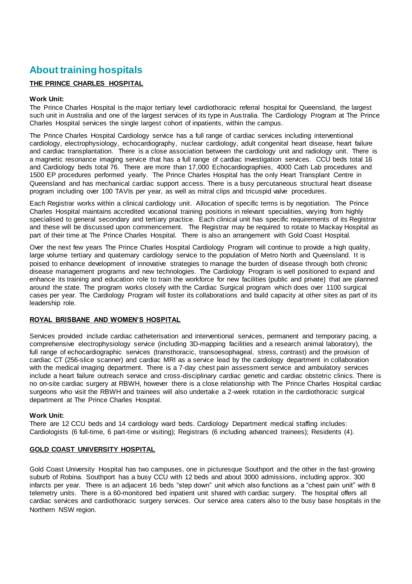# **About training hospitals**

# **THE PRINCE CHARLES HOSPITAL**

# **Work Unit:**

The Prince Charles Hospital is the major tertiary level cardiothoracic referral hospital for Queensland, the largest such unit in Australia and one of the largest services of its type in Australia. The Cardiology Program at The Prince Charles Hospital services the single largest cohort of inpatients, within the campus.

The Prince Charles Hospital Cardiology service has a full range of cardiac services including interventional cardiology, electrophysiology, echocardiography, nuclear cardiology, adult congenital heart disease, heart failure and cardiac transplantation. There is a close association between the cardiology unit and radiology unit. There is a magnetic resonance imaging service that has a full range of cardiac investigation services. CCU beds total 16 and Cardiology beds total 76. There are more than 17,000 Echocardiographies, 4000 Cath Lab procedures and 1500 EP procedures performed yearly. The Prince Charles Hospital has the only Heart Transplant Centre in Queensland and has mechanical cardiac support access. There is a busy percutaneous structural heart disease program including over 100 TAVIs per year, as well as mitral clips and tricuspid valve procedures.

Each Registrar works within a clinical cardiology unit. Allocation of specific terms is by negotiation. The Prince Charles Hospital maintains accredited vocational training positions in relevant specialities, varying from highly specialised to general secondary and tertiary practice. Each clinical unit has specific requirements of its Registrar and these will be discussed upon commencement. The Registrar may be required to rotate to Mackay Hospital as part of their time at The Prince Charles Hospital. There is also an arrangement with Gold Coast Hospital.

Over the next few years The Prince Charles Hospital Cardiology Program will continue to provide a high quality, large volume tertiary and quaternary cardiology service to the population of Metro North and Queensland. It is poised to enhance development of innovative strategies to manage the burden of disease through both chronic disease management programs and new technologies. The Cardiology Program is well positioned to expand and enhance its training and education role to train the workforce for new facilities (public and private) that are planned around the state. The program works closely with the Cardiac Surgical program which does over 1100 surgical cases per year. The Cardiology Program will foster its collaborations and build capacity at other sites as part of its leadership role.

#### **ROYAL BRISBANE AND WOMEN'S HOSPITAL**

Services provided include cardiac catheterisation and interventional services, permanent and temporary pacing, a comprehensive electrophysiology service (including 3D-mapping facilities and a research animal laboratory), the full range of echocardiographic services (transthoracic, transoesophageal, stress, contrast) and the provision of cardiac CT (256-slice scanner) and cardiac MRI as a service lead by the cardiology department in collaboration with the medical imaging department. There is a 7-day chest pain assessment service and ambulatory services include a heart failure outreach service and cross-disciplinary cardiac genetic and cardiac obstetric clinics. There is no on-site cardiac surgery at RBWH, however there is a close relationship with The Prince Charles Hospital cardiac surgeons who visit the RBWH and trainees will also undertake a 2-week rotation in the cardiothoracic surgical department at The Prince Charles Hospital.

#### **Work Unit:**

There are 12 CCU beds and 14 cardiology ward beds. Cardiology Department medical staffing includes: Cardiologists (6 full-time, 6 part-time or visiting); Registrars (6 including advanced trainees); Residents (4).

# **GOLD COAST UNIVERSITY HOSPITAL**

Gold Coast University Hospital has two campuses, one in picturesque Southport and the other in the fast-growing suburb of Robina. Southport has a busy CCU with 12 beds and about 3000 admissions, including approx. 300 infarcts per year. There is an adjacent 16 beds "step down" unit which also functions as a "chest pain unit" with 8 telemetry units. There is a 60-monitored bed inpatient unit shared with cardiac surgery. The hospital offers all cardiac services and cardiothoracic surgery services. Our service area caters also to the busy base hospitals in the Northern NSW region.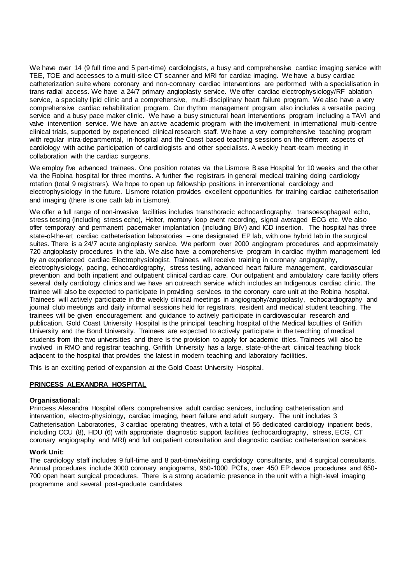We have over 14 (9 full time and 5 part-time) cardiologists, a busy and comprehensive cardiac imaging service with TEE, TOE and accesses to a multi-slice CT scanner and MRI for cardiac imaging. We have a busy cardiac catheterization suite where coronary and non-coronary cardiac interventions are performed with a specialisation in trans-radial access. We have a 24/7 primary angioplasty service. We offer cardiac electrophysiology/RF ablation service, a specialty lipid clinic and a comprehensive, multi-disciplinary heart failure program. We also have a very comprehensive cardiac rehabilitation program. Our rhythm management program also includes a versatile pacing service and a busy pace maker clinic. We have a busy structural heart interventions program including a TAVI and valve intervention service. We have an active academic program with the involvement in international multi-centre clinical trials, supported by experienced clinical research staff. We have a very comprehensive teaching program with regular intra-departmental, in-hospital and the Coast based teaching sessions on the different aspects of cardiology with active participation of cardiologists and other specialists. A weekly heart-team meeting in collaboration with the cardiac surgeons.

We employ five advanced trainees. One position rotates via the Lismore Base Hospital for 10 weeks and the other via the Robina hospital for three months. A further five registrars in general medical training doing cardiology rotation (total 9 registrars). We hope to open up fellowship positions in interventional cardiology and electrophysiology in the future. Lismore rotation provides excellent opportunities for training cardiac catheterisation and imaging (there is one cath lab in Lismore).

We offer a full range of non-invasive facilities includes transthoracic echocardiography, transoesophageal echo, stress testing (including stress echo), Holter, memory loop event recording, signal averaged ECG etc. We also offer temporary and permanent pacemaker implantation (including BiV) and ICD insertion. The hospital has three state-of-the-art cardiac catheterisation laboratories – one designated EP lab, with one hybrid lab in the surgical suites. There is a 24/7 acute angioplasty service. We perform over 2000 angiogram procedures and approximately 720 angioplasty procedures in the lab. We also have a comprehensive program in cardiac rhythm management led by an experienced cardiac Electrophysiologist. Trainees will receive training in coronary angiography, electrophysiology, pacing, echocardiography, stress testing, advanced heart failure management, cardiovascular prevention and both inpatient and outpatient clinical cardiac care. Our outpatient and ambulatory care facility offers several daily cardiology clinics and we have an outreach service which includes an Indigenous cardiac clinic. The trainee will also be expected to participate in providing services to the coronary care unit at the Robina hospital. Trainees will actively participate in the weekly clinical meetings in angiography/angioplasty, echocardiography and journal club meetings and daily informal sessions held for registrars, resident and medical student teaching. The trainees will be given encouragement and guidance to actively participate in cardiovascular research and publication. Gold Coast University Hospital is the principal teaching hospital of the Medical faculties of Griffith University and the Bond University. Trainees are expected to actively participate in the teaching of medical students from the two universities and there is the provision to apply for academic titles. Trainees will also be involved in RMO and registrar teaching. Griffith University has a large, state-of-the-art clinical teaching block adjacent to the hospital that provides the latest in modern teaching and laboratory facilities.

This is an exciting period of expansion at the Gold Coast University Hospital.

#### **PRINCESS ALEXANDRA HOSPITAL**

#### **Organisational:**

Princess Alexandra Hospital offers comprehensive adult cardiac services, including catheterisation and intervention, electro-physiology, cardiac imaging, heart failure and adult surgery. The unit includes 3 Catheterisation Laboratories, 3 cardiac operating theatres, with a total of 56 dedicated cardiology inpatient beds, including CCU (8), HDU (6) with appropriate diagnostic support facilities (echocardiography, stress, ECG, CT coronary angiography and MRI) and full outpatient consultation and diagnostic cardiac catheterisation services.

# **Work Unit:**

The cardiology staff includes 9 full-time and 8 part-time/visiting cardiology consultants, and 4 surgical consultants. Annual procedures include 3000 coronary angiograms, 950-1000 PCI's, over 450 EP device procedures and 650- 700 open heart surgical procedures. There is a strong academic presence in the unit with a high-level imaging programme and several post-graduate candidates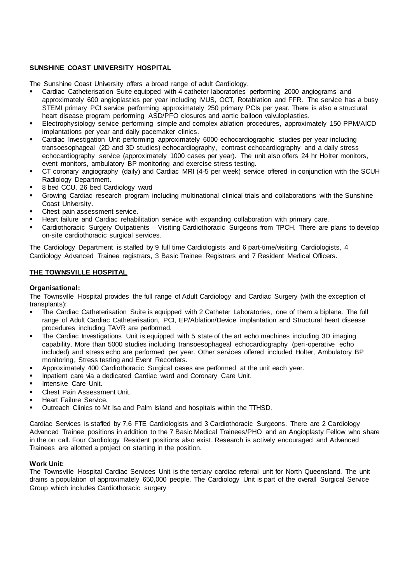# **SUNSHINE COAST UNIVERSITY HOSPITAL**

The Sunshine Coast University offers a broad range of adult Cardiology.

- Cardiac Catheterisation Suite equipped with 4 catheter laboratories performing 2000 angiograms and approximately 600 angioplasties per year including IVUS, OCT, Rotablation and FFR. The service has a busy STEMI primary PCI service performing approximately 250 primary PCIs per year. There is also a structural heart disease program performing ASD/PFO closures and aortic balloon valvuloplasties.
- **Electrophysiology service performing simple and complex ablation procedures, approximately 150 PPM/AICD** implantations per year and daily pacemaker clinics.
- Cardiac Investigation Unit performing approximately 6000 echocardiographic studies per year including transoesophageal (2D and 3D studies) echocardiography, contrast echocardiography and a daily stress echocardiography service (approximately 1000 cases per year). The unit also offers 24 hr Holter monitors, event monitors, ambulatory BP monitoring and exercise stress testing.
- CT coronary angiography (daily) and Cardiac MRI (4-5 per week) service offered in conjunction with the SCUH Radiology Department.
- 8 bed CCU, 26 bed Cardiology ward
- Growing Cardiac research program including multinational clinical trials and collaborations with the Sunshine Coast University.
- Chest pain assessment service.
- Heart failure and Cardiac rehabilitation service with expanding collaboration with primary care.
- Cardiothoracic Surgery Outpatients Visiting Cardiothoracic Surgeons from TPCH. There are plans to develop on-site cardiothoracic surgical services.

The Cardiology Department is staffed by 9 full time Cardiologists and 6 part-time/visiting Cardiologists, 4 Cardiology Advanced Trainee registrars, 3 Basic Trainee Registrars and 7 Resident Medical Officers.

# **THE TOWNSVILLE HOSPITAL**

#### **Organisational:**

The Townsville Hospital provides the full range of Adult Cardiology and Cardiac Surgery (with the exception of transplants):

- The Cardiac Catheterisation Suite is equipped with 2 Catheter Laboratories, one of them a biplane. The full range of Adult Cardiac Catheterisation, PCI, EP/Ablation/Device implantation and Structural heart disease procedures including TAVR are performed.
- **•** The Cardiac Investigations Unit is equipped with 5 state of the art echo machines including 3D imaging capability. More than 5000 studies including transoesophageal echocardiography (peri-operative echo included) and stress echo are performed per year. Other services offered included Holter, Ambulatory BP monitoring, Stress testing and Event Recorders.
- Approximately 400 Cardiothoracic Surgical cases are performed at the unit each year.
- Inpatient care via a dedicated Cardiac ward and Coronary Care Unit.
- Intensive Care Unit.
- Chest Pain Assessment Unit.
- Heart Failure Service.
- Outreach Clinics to Mt Isa and Palm Island and hospitals within the TTHSD.

Cardiac Services is staffed by 7.6 FTE Cardiologists and 3 Cardiothoracic Surgeons. There are 2 Cardiology Advanced Trainee positions in addition to the 7 Basic Medical Trainees/PHO and an Angioplasty Fellow who share in the on call. Four Cardiology Resident positions also exist. Research is actively encouraged and Advanced Trainees are allotted a project on starting in the position.

#### **Work Unit:**

The Townsville Hospital Cardiac Services Unit is the tertiary cardiac referral unit for North Queensland. The unit drains a population of approximately 650,000 people. The Cardiology Unit is part of the overall Surgical Service Group which includes Cardiothoracic surgery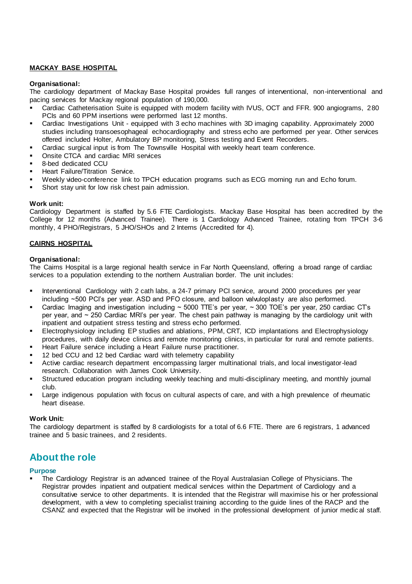# **MACKAY BASE HOSPITAL**

#### **Organisational:**

The cardiology department of Mackay Base Hospital provides full ranges of interventional, non-interventional and pacing services for Mackay regional population of 190,000.

- Cardiac Catheterisation Suite is equipped with modern facility with IVUS, OCT and FFR. 900 angiograms, 280 PCIs and 60 PPM insertions were performed last 12 months.
- Cardiac Investigations Unit equipped with 3 echo machines with 3D imaging capability. Approximately 2000 studies including transoesophageal echocardiography and stress echo are performed per year. Other services offered included Holter, Ambulatory BP monitoring, Stress testing and Event Recorders.
- Cardiac surgical input is from The Townsville Hospital with weekly heart team conference.
- Onsite CTCA and cardiac MRI services
- 8-bed dedicated CCU
- Heart Failure/Titration Service.
- Weekly video-conference link to TPCH education programs such as ECG morning run and Echo forum.
- Short stay unit for low risk chest pain admission.

#### **Work unit:**

Cardiology Department is staffed by 5.6 FTE Cardiologists. Mackay Base Hospital has been accredited by the College for 12 months (Advanced Trainee). There is 1 Cardiology Advanced Trainee, rotating from TPCH 3-6 monthly, 4 PHO/Registrars, 5 JHO/SHOs and 2 Interns (Accredited for 4).

# **CAIRNS HOSPITAL**

#### **Organisational:**

The Cairns Hospital is a large regional health service in Far North Queensland, offering a broad range of cardiac services to a population extending to the northern Australian border. The unit includes:

- **EXED Interventional Cardiology with 2 cath labs, a 24-7 primary PCI service, around 2000 procedures per year** including ~500 PCI's per year. ASD and PFO closure, and balloon valvuloplasty are also performed.
- Cardiac Imaging and investigation including  $\sim$  5000 TTE's per year,  $\sim$  300 TOE's per year, 250 cardiac CT's per year, and ~ 250 Cardiac MRI's per year. The chest pain pathway is managing by the cardiology unit with inpatient and outpatient stress testing and stress echo performed.
- Electrophysiology including EP studies and ablations, PPM, CRT, ICD implantations and Electrophysiology procedures, with daily device clinics and remote monitoring clinics, in particular for rural and remote patients.
- Heart Failure service including a Heart Failure nurse practitioner.
- 12 bed CCU and 12 bed Cardiac ward with telemetry capability
- Active cardiac research department encompassing larger multinational trials, and local investigator-lead research. Collaboration with James Cook University.
- Structured education program including weekly teaching and multi-disciplinary meeting, and monthly journal club.
- Large indigenous population with focus on cultural aspects of care, and with a high prevalence of rheumatic heart disease.

#### **Work Unit:**

The cardiology department is staffed by 8 cardiologists for a total of 6.6 FTE. There are 6 registrars, 1 advanced trainee and 5 basic trainees, and 2 residents.

# **About the role**

#### **Purpose**

The Cardiology Registrar is an advanced trainee of the Royal Australasian College of Physicians. The Registrar provides inpatient and outpatient medical services within the Department of Cardiology and a consultative service to other departments. It is intended that the Registrar will maximise his or her professional development, with a view to completing specialist training according to the guide lines of the RACP and the CSANZ and expected that the Registrar will be involved in the professional development of junior medic al staff.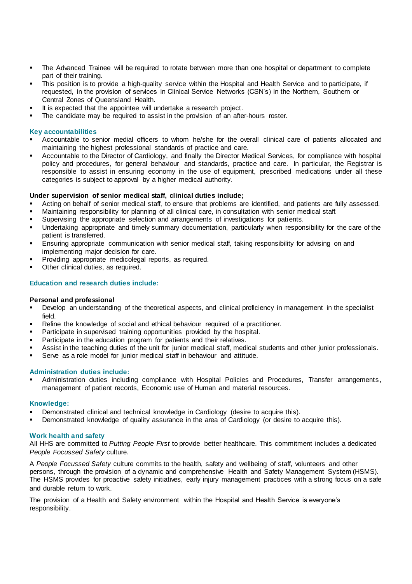- The Advanced Trainee will be required to rotate between more than one hospital or department to complete part of their training.
- This position is to provide a high-quality service within the Hospital and Health Service and to participate, if requested, in the provision of services in Clinical Service Networks (CSN's) in the Northern, Southern or Central Zones of Queensland Health.
- It is expected that the appointee will undertake a research project.
- The candidate may be required to assist in the provision of an after-hours roster.

#### **Key accountabilities**

- Accountable to senior medial officers to whom he/she for the overall clinical care of patients allocated and maintaining the highest professional standards of practice and care.
- Accountable to the Director of Cardiology, and finally the Director Medical Services, for compliance with hospital policy and procedures, for general behaviour and standards, practice and care. In particular, the Registrar is responsible to assist in ensuring economy in the use of equipment, prescribed medications under all these categories is subject to approval by a higher medical authority.

#### **Under supervision of senior medical staff, clinical duties include;**

- Acting on behalf of senior medical staff, to ensure that problems are identified, and patients are fully assessed.
- Maintaining responsibility for planning of all clinical care, in consultation with senior medical staff.
- Supervising the appropriate selection and arrangements of investigations for patients.
- Undertaking appropriate and timely summary documentation, particularly when responsibility for the care of the patient is transferred.
- **Ensuring appropriate communication with senior medical staff, taking responsibility for advising on and** implementing major decision for care.
- Providing appropriate medicolegal reports, as required.
- Other clinical duties, as required.

#### **Education and research duties include:**

#### **Personal and professional**

- Develop an understanding of the theoretical aspects, and clinical proficiency in management in the specialist field.
- Refine the knowledge of social and ethical behaviour required of a practitioner.
- Participate in supervised training opportunities provided by the hospital.
- **•** Participate in the education program for patients and their relatives.
- Assist in the teaching duties of the unit for junior medical staff, medical students and other junior professionals.
- Serve as a role model for junior medical staff in behaviour and attitude.

#### **Administration duties include:**

Administration duties including compliance with Hospital Policies and Procedures, Transfer arrangements, management of patient records, Economic use of Human and material resources.

#### **Knowledge:**

- Demonstrated clinical and technical knowledge in Cardiology (desire to acquire this).
- Demonstrated knowledge of quality assurance in the area of Cardiology (or desire to acquire this).

#### **Work health and safety**

All HHS are committed to *Putting People First* to provide better healthcare. This commitment includes a dedicated *People Focussed Safety* culture.

A *People Focussed Safety* culture commits to the health, safety and wellbeing of staff, volunteers and other persons, through the provision of a dynamic and comprehensive Health and Safety Management System (HSMS). The HSMS provides for proactive safety initiatives, early injury management practices with a strong focus on a safe and durable return to work.

The provision of a Health and Safety environment within the Hospital and Health Service is everyone's responsibility.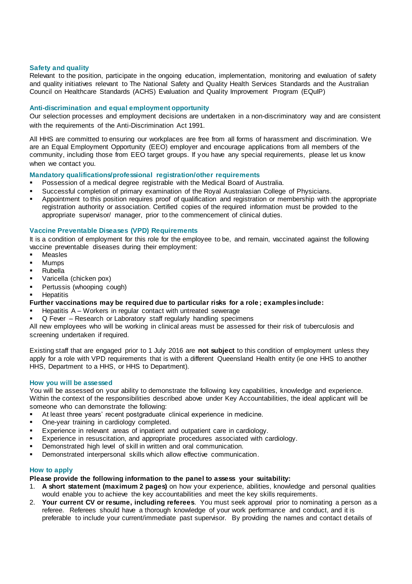#### **Safety and quality**

Relevant to the position, participate in the ongoing education, implementation, monitoring and evaluation of safety and quality initiatives relevant to The National Safety and Quality Health Services Standards and the Australian Council on Healthcare Standards (ACHS) Evaluation and Quality Improvement Program (EQuIP)

#### **Anti-discrimination and equal employment opportunity**

Our selection processes and employment decisions are undertaken in a non-discriminatory way and are consistent with the requirements of the Anti-Discrimination Act 1991.

All HHS are committed to ensuring our workplaces are free from all forms of harassment and discrimination. We are an Equal Employment Opportunity (EEO) employer and encourage applications from all members of the community, including those from EEO target groups. If you have any special requirements, please let us know when we contact you.

# **Mandatory qualifications/professional registration/other requirements**

- Possession of a medical degree registrable with the Medical Board of Australia.
- Successful completion of primary examination of the Royal Australasian College of Physicians.
- Appointment to this position requires proof of qualification and registration or membership with the appropriate registration authority or association. Certified copies of the required information must be provided to the appropriate supervisor/ manager, prior to the commencement of clinical duties.

#### **Vaccine Preventable Diseases (VPD) Requirements**

It is a condition of employment for this role for the employee to be, and remain, vaccinated against the following vaccine preventable diseases during their employment:

- Measles
- **Mumps**
- **Rubella**
- Varicella (chicken pox)
- Pertussis (whooping cough)
- **Hepatitis**
- **Further vaccinations may be required due to particular risks for a role ; examples include:**
- Hepatitis  $A W$ orkers in regular contact with untreated sewerage
- Q Fever Research or Laboratory staff regularly handling specimens

All new employees who will be working in clinical areas must be assessed for their risk of tuberculosis and screening undertaken if required.

Existing staff that are engaged prior to 1 July 2016 are **not subject** to this condition of employment unless they apply for a role with VPD requirements that is with a different Queensland Health entity (ie one HHS to another HHS, Department to a HHS, or HHS to Department).

#### **How you will be assessed**

You will be assessed on your ability to demonstrate the following key capabilities, knowledge and experience. Within the context of the responsibilities described above under Key Accountabilities, the ideal applicant will be someone who can demonstrate the following:

- At least three years' recent postgraduate clinical experience in medicine.
- One-year training in cardiology completed.
- Experience in relevant areas of inpatient and outpatient care in cardiology.
- Experience in resuscitation, and appropriate procedures associated with cardiology.
- Demonstrated high level of skill in written and oral communication.
- Demonstrated interpersonal skills which allow effective communication.

#### **How to apply**

**Please provide the following information to the panel to assess your suitability:**

- 1. **A short statement (maximum 2 pages)** on how your experience, abilities, knowledge and personal qualities would enable you to achieve the key accountabilities and meet the key skills requirements.
- 2. **Your current CV or resume, including referees**. You must seek approval prior to nominating a person as a referee. Referees should have a thorough knowledge of your work performance and conduct, and it is preferable to include your current/immediate past supervisor. By providing the names and contact details of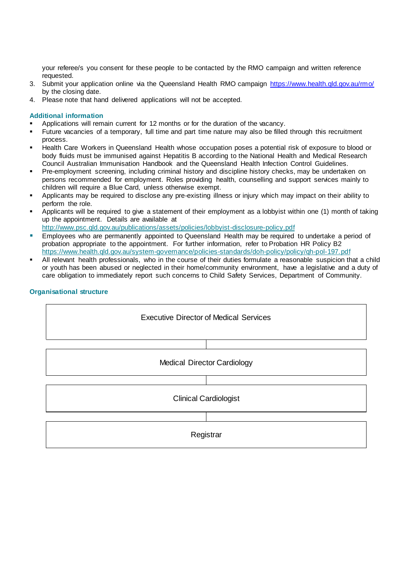your referee/s you consent for these people to be contacted by the RMO campaign and written reference requested.

- 3. Submit your application online via the Queensland Health RMO campaign<https://www.health.qld.gov.au/rmo/> by the closing date.
- 4. Please note that hand delivered applications will not be accepted.

# **Additional information**

- Applications will remain current for 12 months or for the duration of the vacancy.
- Future vacancies of a temporary, full time and part time nature may also be filled through this recruitment process.
- Health Care Workers in Queensland Health whose occupation poses a potential risk of exposure to blood or body fluids must be immunised against Hepatitis B according to the National Health and Medical Research Council Australian Immunisation Handbook and the Queensland Health Infection Control Guidelines.
- Pre-employment screening, including criminal history and discipline history checks, may be undertaken on persons recommended for employment. Roles providing health, counselling and support services mainly to children will require a Blue Card, unless otherwise exempt.
- Applicants may be required to disclose any pre-existing illness or injury which may impact on their ability to perform the role.
- Applicants will be required to give a statement of their employment as a lobbyist within one (1) month of taking up the appointment. Details are available at

<http://www.psc.qld.gov.au/publications/assets/policies/lobbyist-disclosure-policy.pdf>

- **Employees who are permanently appointed to Queensland Health may be required to undertake a period of** probation appropriate to the appointment. For further information, refer to Probation HR Policy B2 <https://www.health.qld.gov.au/system-governance/policies-standards/doh-policy/policy/qh-pol-197.pdf>
- All relevant health professionals, who in the course of their duties formulate a reasonable suspicion that a child or youth has been abused or neglected in their home/community environment, have a legislative and a duty of care obligation to immediately report such concerns to Child Safety Services, Department of Community.

# **Organisational structure**

Executive Director of Medical Services Medical Director Cardiology Clinical Cardiologist

**Registrar**